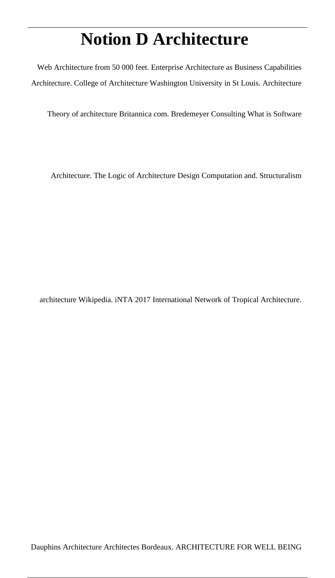# **Notion D Architecture**

Web Architecture from 50 000 feet. Enterprise Architecture as Business Capabilities Architecture. College of Architecture Washington University in St Louis. Architecture

Theory of architecture Britannica com. Bredemeyer Consulting What is Software

Architecture. The Logic of Architecture Design Computation and. Structuralism

architecture Wikipedia. iNTA 2017 International Network of Tropical Architecture.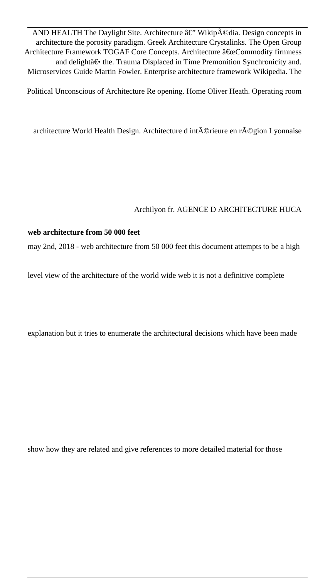AND HEALTH The Daylight Site. Architecture â€" Wikipédia. Design concepts in architecture the porosity paradigm. Greek Architecture Crystalinks. The Open Group Architecture Framework TOGAF Core Concepts. Architecture "Commodity firmness and delight― the. Trauma Displaced in Time Premonition Synchronicity and. Microservices Guide Martin Fowler. Enterprise architecture framework Wikipedia. The

Political Unconscious of Architecture Re opening. Home Oliver Heath. Operating room

architecture World Health Design. Architecture d intérieure en région Lyonnaise

#### Archilyon fr. AGENCE D ARCHITECTURE HUCA

#### **web architecture from 50 000 feet**

may 2nd, 2018 - web architecture from 50 000 feet this document attempts to be a high

level view of the architecture of the world wide web it is not a definitive complete

explanation but it tries to enumerate the architectural decisions which have been made

show how they are related and give references to more detailed material for those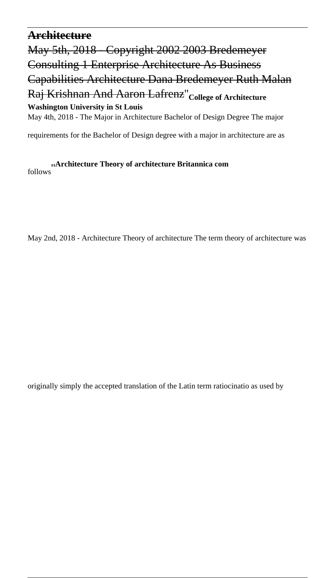#### **Architecture**

May 5th, 2018 - Copyright 2002 2003 Bredemeyer Consulting 1 Enterprise Architecture As Business Capabilities Architecture Dana Bredemeyer Ruth Malan Raj Krishnan And Aaron Lafrenz''**College of Architecture Washington University in St Louis**

May 4th, 2018 - The Major in Architecture Bachelor of Design Degree The major

requirements for the Bachelor of Design degree with a major in architecture are as

follows''**Architecture Theory of architecture Britannica com**

May 2nd, 2018 - Architecture Theory of architecture The term theory of architecture was

originally simply the accepted translation of the Latin term ratiocinatio as used by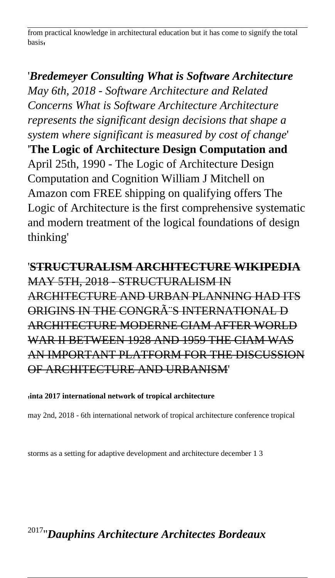from practical knowledge in architectural education but it has come to signify the total basis'

# '*Bredemeyer Consulting What is Software Architecture May 6th, 2018 - Software Architecture and Related Concerns What is Software Architecture Architecture represents the significant design decisions that shape a system where significant is measured by cost of change*' '**The Logic of Architecture Design Computation and** April 25th, 1990 - The Logic of Architecture Design Computation and Cognition William J Mitchell on Amazon com FREE shipping on qualifying offers The Logic of Architecture is the first comprehensive systematic and modern treatment of the logical foundations of design thinking'

'**STRUCTURALISM ARCHITECTURE WIKIPEDIA** MAY 5TH, 2018 - STRUCTURALISM IN ARCHITECTURE AND URBAN PLANNING HAD ITS ORIGINS IN THE CONGRÂTS INTERNATIONAL D ARCHITECTURE MODERNE CIAM AFTER WORLD WAR II BETWEEN 1928 AND 1959 THE CIAM WAS AN IMPORTANT PLATFORM FOR THE DISCUSSION OF ARCHITECTURE AND URBANISM'

#### '**inta 2017 international network of tropical architecture**

may 2nd, 2018 - 6th international network of tropical architecture conference tropical

storms as a setting for adaptive development and architecture december 1 3

# <sup>2017</sup>''*Dauphins Architecture Architectes Bordeaux*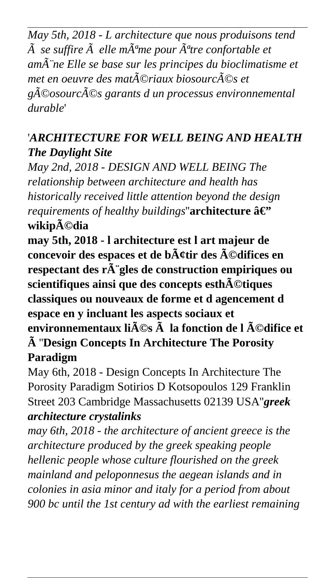*May 5th, 2018 - L architecture que nous produisons tend*  $\tilde{A}$  se suffire  $\tilde{A}$  elle m $\tilde{A}^{\alpha}$ me pour  $\tilde{A}^{\alpha}$ tre confortable et *amène Elle se base sur les principes du bioclimatisme et met en oeuvre des mat* $\tilde{A}$ ©riaux biosourc $\tilde{A}$ ©s et *géosourcés garants d un processus environnemental durable*'

# '*ARCHITECTURE FOR WELL BEING AND HEALTH The Daylight Site*

*May 2nd, 2018 - DESIGN AND WELL BEING The relationship between architecture and health has historically received little attention beyond the design requirements of healthy buildings*"**architecture**  $\hat{a}\hat{\epsilon}$ " **wikipédia**

**may 5th, 2018 - l architecture est l art majeur de** concevoir des espaces et de b $\tilde{A}$ ctir des  $\tilde{A}$ ©difices en respectant des r $\tilde{A}$  gles de construction empiriques ou scientifiques ainsi que des concepts esth $\tilde{A}$ ©tiques **classiques ou nouveaux de forme et d agencement d espace en y incluant les aspects sociaux et** environnementaux li $\tilde{A}$ **©s**  $\tilde{A}$  la fonction de l  $\tilde{A}$ ©difice et **à** ''**Design Concepts In Architecture The Porosity Paradigm**

May 6th, 2018 - Design Concepts In Architecture The Porosity Paradigm Sotirios D Kotsopoulos 129 Franklin Street 203 Cambridge Massachusetts 02139 USA''*greek architecture crystalinks*

*may 6th, 2018 - the architecture of ancient greece is the architecture produced by the greek speaking people hellenic people whose culture flourished on the greek mainland and peloponnesus the aegean islands and in colonies in asia minor and italy for a period from about 900 bc until the 1st century ad with the earliest remaining*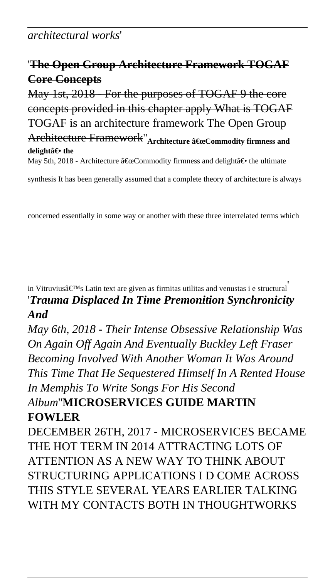### *architectural works*'

# '**The Open Group Architecture Framework TOGAF Core Concepts**

May 1st, 2018 - For the purposes of TOGAF 9 the core concepts provided in this chapter apply What is TOGAF TOGAF is an architecture framework The Open Group **Architecture Framework"** Architecture "Commodity firmness and **delightâ€** the May 5th, 2018 - Architecture  $\hat{\mathbf{a}} \in \alpha$ Commodity firmness and delight $\hat{\mathbf{a}} \in \mathbf{e}$  the ultimate

synthesis It has been generally assumed that a complete theory of architecture is always

concerned essentially in some way or another with these three interrelated terms which

in Vitruvius's Latin text are given as firmitas utilitas and venustas i e structural '*Trauma Displaced In Time Premonition Synchronicity And*

*May 6th, 2018 - Their Intense Obsessive Relationship Was On Again Off Again And Eventually Buckley Left Fraser Becoming Involved With Another Woman It Was Around This Time That He Sequestered Himself In A Rented House In Memphis To Write Songs For His Second*

# *Album*''**MICROSERVICES GUIDE MARTIN FOWLER**

DECEMBER 26TH, 2017 - MICROSERVICES BECAME THE HOT TERM IN 2014 ATTRACTING LOTS OF ATTENTION AS A NEW WAY TO THINK ABOUT STRUCTURING APPLICATIONS I D COME ACROSS THIS STYLE SEVERAL YEARS EARLIER TALKING WITH MY CONTACTS BOTH IN THOUGHTWORKS